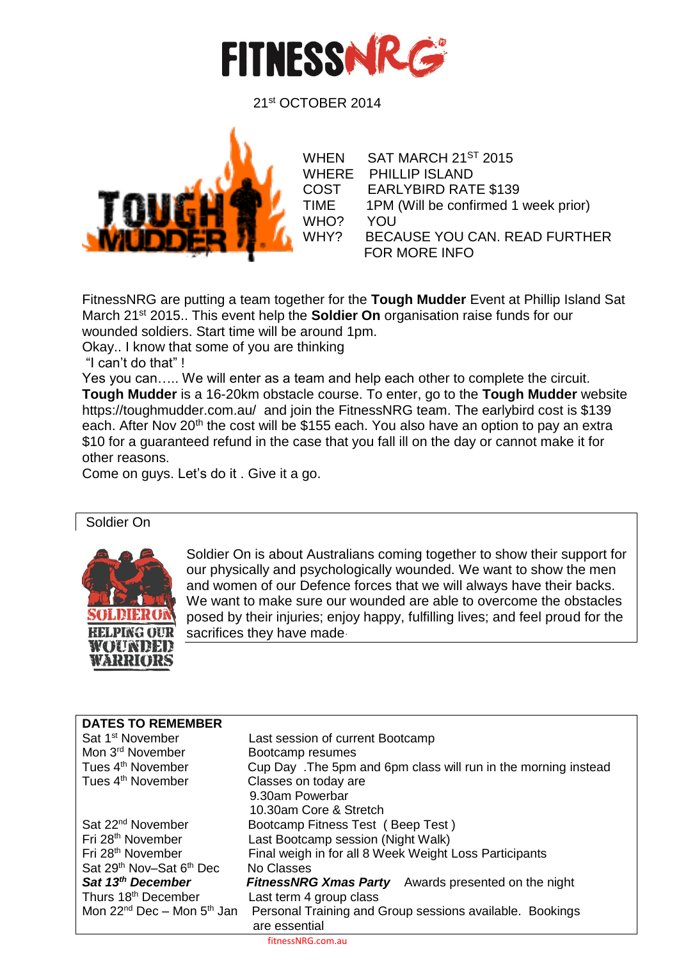

21st OCTOBER 2014



WHEN SAT MARCH 21<sup>ST</sup> 2015 WHERE PHILLIP ISLAND COST EARLYBIRD RATE \$139 TIME 1PM (Will be confirmed 1 week prior) WHO? YOU WHY? BECAUSE YOU CAN. READ FURTHER FOR MORE INFO

FitnessNRG are putting a team together for the **Tough Mudder** Event at Phillip Island Sat March 21st 2015.. This event help the **Soldier On** organisation raise funds for our wounded soldiers. Start time will be around 1pm.

Okay.. I know that some of you are thinking

"I can't do that" !

Yes you can….. We will enter as a team and help each other to complete the circuit. **Tough Mudder** is a 16-20km obstacle course. To enter, go to the **Tough Mudder** website https://toughmudder.com.au/ and join the FitnessNRG team. The earlybird cost is \$139 each. After Nov 20<sup>th</sup> the cost will be \$155 each. You also have an option to pay an extra \$10 for a guaranteed refund in the case that you fall ill on the day or cannot make it for other reasons.

Come on guys. Let's do it . Give it a go.

#### Soldier On



Soldier On is about Australians coming together to show their support for our physically and psychologically wounded. We want to show the men and women of our Defence forces that we will always have their backs. We want to make sure our wounded are able to overcome the obstacles posed by their injuries; enjoy happy, fulfilling lives; and feel proud for the sacrifices they have made.

| <b>DATES TO REMEMBER</b>                         |                                                                 |
|--------------------------------------------------|-----------------------------------------------------------------|
| Sat 1 <sup>st</sup> November                     | Last session of current Bootcamp                                |
| Mon 3 <sup>rd</sup> November                     | Bootcamp resumes                                                |
| Tues 4 <sup>th</sup> November                    | Cup Day . The 5pm and 6pm class will run in the morning instead |
| Tues 4 <sup>th</sup> November                    | Classes on today are                                            |
|                                                  | 9.30am Powerbar                                                 |
|                                                  | 10.30am Core & Stretch                                          |
| Sat 22 <sup>nd</sup> November                    | Bootcamp Fitness Test (Beep Test)                               |
| Fri 28 <sup>th</sup> November                    | Last Bootcamp session (Night Walk)                              |
| Fri 28 <sup>th</sup> November                    | Final weigh in for all 8 Week Weight Loss Participants          |
| Sat 29 <sup>th</sup> Nov-Sat 6 <sup>th</sup> Dec | No Classes                                                      |
| Sat 13 <sup>th</sup> December                    | Awards presented on the night<br><b>FitnessNRG Xmas Party</b>   |
| Thurs 18 <sup>th</sup> December                  | Last term 4 group class                                         |
| Mon $22^{nd}$ Dec – Mon $5^{th}$ Jan             | Personal Training and Group sessions available. Bookings        |
|                                                  | are essential                                                   |
|                                                  |                                                                 |

fitnessNRG.com.au